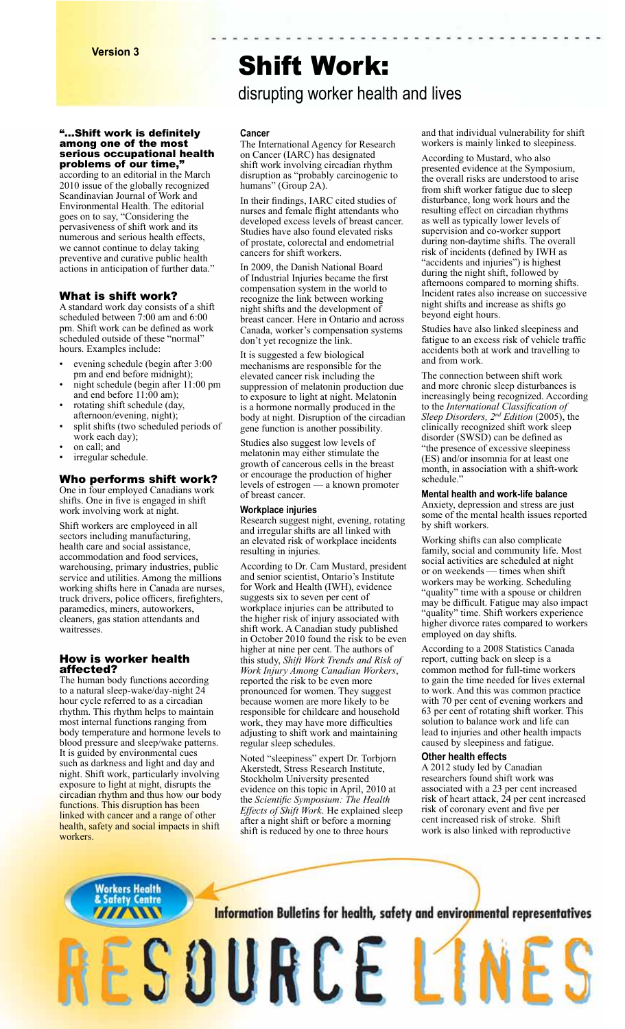### "…Shift work is definitely among one of the most serious occupational health problems of our time,

according to an editorial in the March 2010 issue of the globally recognized Scandinavian Journal of Work and Environmental Health. The editorial goes on to say, "Considering the pervasiveness of shift work and its numerous and serious health effects, we cannot continue to delay taking preventive and curative public health actions in anticipation of further data."

### What is shift work?

A standard work day consists of a shift scheduled between 7:00 am and 6:00 pm. Shift work can be defined as work scheduled outside of these "normal" hours. Examples include:

- evening schedule (begin after 3:00 pm and end before midnight);
- night schedule (begin after 11:00 pm and end before 11:00 am);
- rotating shift schedule (day, afternoon/evening, night);
- split shifts (two scheduled periods of work each day);
- on call; and
- irregular schedule.

### Who performs shift work?

One in four employed Canadians work shifts. One in five is engaged in shift work involving work at night.

Shift workers are employeed in all sectors including manufacturing, health care and social assistance, accommodation and food services, warehousing, primary industries, public service and utilities. Among the millions working shifts here in Canada are nurses, truck drivers, police officers, firefighters, paramedics, miners, autoworkers, cleaners, gas station attendants and waitresses.

### How is worker health affected?

The human body functions according to a natural sleep-wake/day-night 24 hour cycle referred to as a circadian rhythm. This rhythm helps to maintain most internal functions ranging from body temperature and hormone levels to blood pressure and sleep/wake patterns. It is guided by environmental cues such as darkness and light and day and night. Shift work, particularly involving exposure to light at night, disrupts the circadian rhythm and thus how our body functions. This disruption has been linked with cancer and a range of other health, safety and social impacts in shift workers.

# Shift Work: disrupting worker health and lives

### **Cancer**

The International Agency for Research on Cancer (IARC) has designated shift work involving circadian rhythm disruption as "probably carcinogenic to humans" (Group 2A).

In their findings, IARC cited studies of nurses and female flight attendants who developed excess levels of breast cancer. Studies have also found elevated risks of prostate, colorectal and endometrial cancers for shift workers.

In 2009, the Danish National Board of Industrial Injuries became the first compensation system in the world to recognize the link between working night shifts and the development of breast cancer. Here in Ontario and across Canada, worker's compensation systems don't yet recognize the link.

It is suggested a few biological mechanisms are responsible for the elevated cancer risk including the suppression of melatonin production due to exposure to light at night. Melatonin is a hormone normally produced in the body at night. Disruption of the circadian gene function is another possibility.

Studies also suggest low levels of melatonin may either stimulate the growth of cancerous cells in the breast or encourage the production of higher levels of estrogen — a known promoter of breast cancer.

### **Workplace injuries**

Research suggest night, evening, rotating and irregular shifts are all linked with an elevated risk of workplace incidents resulting in injuries.

According to Dr. Cam Mustard, president and senior scientist, Ontario's Institute for Work and Health (IWH), evidence suggests six to seven per cent of workplace injuries can be attributed to the higher risk of injury associated with shift work. A Canadian study published in October 2010 found the risk to be even higher at nine per cent. The authors of this study, *Shift Work Trends and Risk of Work Injury Among Canadian Workers*, reported the risk to be even more pronounced for women. They suggest because women are more likely to be responsible for childcare and household work, they may have more difficulties adjusting to shift work and maintaining regular sleep schedules.

Noted "sleepiness" expert Dr. Torbjorn Akerstedt, Stress Research Institute, Stockholm University presented evidence on this topic in April, 2010 at the *Scientific Symposium: The Health Effects of Shift Work*. He explained sleep after a night shift or before a morning shift is reduced by one to three hours

and that individual vulnerability for shift workers is mainly linked to sleepiness.

According to Mustard, who also presented evidence at the Symposium, the overall risks are understood to arise from shift worker fatigue due to sleep disturbance, long work hours and the resulting effect on circadian rhythms as well as typically lower levels of supervision and co-worker support during non-daytime shifts. The overall risk of incidents (defined by IWH as "accidents and injuries") is highest during the night shift, followed by afternoons compared to morning shifts. Incident rates also increase on successive night shifts and increase as shifts go beyond eight hours.

Studies have also linked sleepiness and fatigue to an excess risk of vehicle traffic accidents both at work and travelling to and from work.

The connection between shift work and more chronic sleep disturbances is increasingly being recognized. According to the *International Classification of Sleep Disorders, 2nd Edition* (2005), the clinically recognized shift work sleep disorder (SWSD) can be defined as "the presence of excessive sleepiness (ES) and/or insomnia for at least one month, in association with a shift-work schedule.

### **Mental health and work-life balance**

Anxiety, depression and stress are just some of the mental health issues reported by shift workers.

Working shifts can also complicate family, social and community life. Most social activities are scheduled at night or on weekends — times when shift workers may be working. Scheduling "quality" time with a spouse or children may be difficult. Fatigue may also impact "quality" time. Shift workers experience higher divorce rates compared to workers employed on day shifts.

According to a 2008 Statistics Canada report, cutting back on sleep is a common method for full-time workers to gain the time needed for lives external to work. And this was common practice with 70 per cent of evening workers and 63 per cent of rotating shift worker. This solution to balance work and life can lead to injuries and other health impacts caused by sleepiness and fatigue.

### **Other health effects**

A 2012 study led by Canadian researchers found shift work was associated with a 23 per cent increased risk of heart attack, 24 per cent increased risk of coronary event and five per cent increased risk of stroke. Shift work is also linked with reproductive